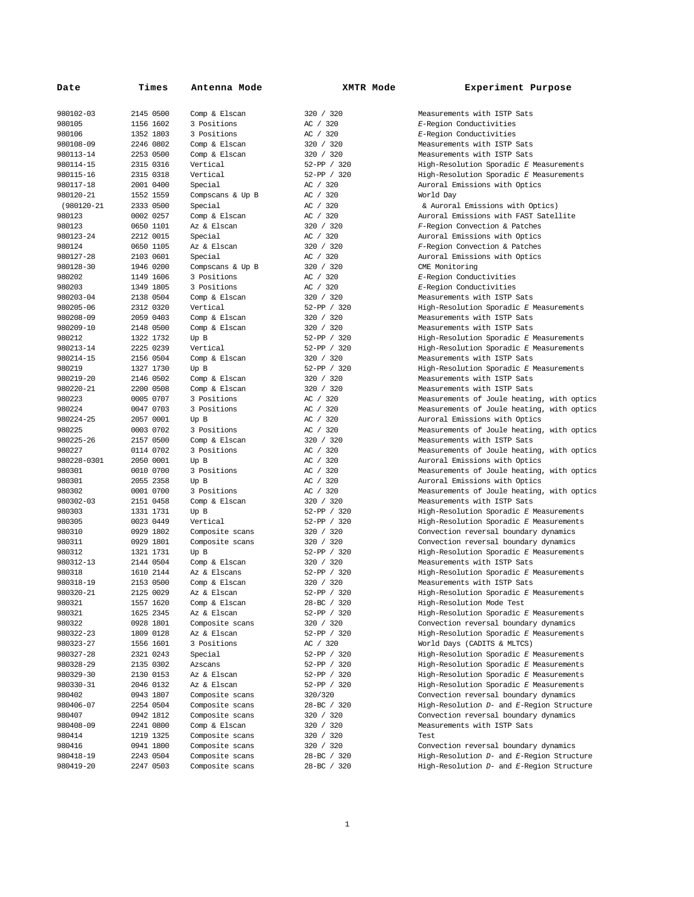| Date                   | Times                  | Antenna Mode                | XMTR Mode                  | Experiment Purpose                                                                 |
|------------------------|------------------------|-----------------------------|----------------------------|------------------------------------------------------------------------------------|
| 980102-03              | 2145 0500              | Comp & Elscan               | 320 / 320                  | Measurements with ISTP Sats                                                        |
| 980105                 | 1156 1602              | 3 Positions                 | AC / 320                   | E-Region Conductivities                                                            |
| 980106                 | 1352 1803              | 3 Positions                 | AC / 320                   | E-Region Conductivities                                                            |
| 980108-09              | 2246 0802              | Comp & Elscan               | 320 / 320                  | Measurements with ISTP Sats                                                        |
| 980113-14              | 2253 0500              | Comp & Elscan               | 320 / 320                  | Measurements with ISTP Sats                                                        |
| 980114-15              | 2315 0316              | Vertical                    | 52-PP / 320                | High-Resolution Sporadic E Measurements                                            |
| 980115-16              | 2315 0318              | Vertical                    | 52-PP / 320                | High-Resolution Sporadic E Measurements                                            |
| 980117-18<br>980120-21 | 2001 0400<br>1552 1559 | Special<br>Compscans & Up B | AC / 320<br>AC / 320       | Auroral Emissions with Optics<br>World Day                                         |
| (980120-21             | 2333 0500              | Special                     | AC / 320                   | & Auroral Emissions with Optics)                                                   |
| 980123                 | 0002 0257              | Comp & Elscan               | AC / 320                   | Auroral Emissions with FAST Satellite                                              |
| 980123                 | 0650 1101              | Az & Elscan                 | 320 / 320                  | F-Region Convection & Patches                                                      |
| 980123-24              | 2212 0015              | Special                     | AC / 320                   | Auroral Emissions with Optics                                                      |
| 980124                 | 0650 1105              | Az & Elscan                 | 320 / 320                  | F-Region Convection & Patches                                                      |
| 980127-28              | 2103 0601              | Special                     | AC / 320                   | Auroral Emissions with Optics                                                      |
| 980128-30              | 1946 0200              | Compscans & Up B            | 320 / 320                  | CME Monitoring                                                                     |
| 980202                 | 1149 1606              | 3 Positions                 | AC / 320                   | E-Region Conductivities                                                            |
| 980203                 | 1349 1805              | 3 Positions                 | AC / 320                   | E-Region Conductivities                                                            |
| 980203-04              | 2138 0504              | Comp & Elscan               | 320 / 320                  | Measurements with ISTP Sats                                                        |
| 980205-06              | 2312 0320              | Vertical                    | 52-PP / 320                | High-Resolution Sporadic E Measurements                                            |
| 980208-09              | 2059 0403              | Comp & Elscan               | 320 / 320                  | Measurements with ISTP Sats                                                        |
| 980209-10              | 2148 0500              | Comp & Elscan               | 320 / 320                  | Measurements with ISTP Sats                                                        |
| 980212                 | 1322 1732              | Up B                        | 52-PP / 320                | High-Resolution Sporadic E Measurements                                            |
| 980213-14              | 2225 0239              | Vertical                    | 52-PP / 320                | High-Resolution Sporadic E Measurements                                            |
| 980214-15<br>980219    | 2156 0504<br>1327 1730 | Comp & Elscan               | 320 / 320<br>52-PP / 320   | Measurements with ISTP Sats                                                        |
| 980219-20              | 2146 0502              | Up B<br>Comp & Elscan       | 320 / 320                  | High-Resolution Sporadic E Measurements<br>Measurements with ISTP Sats             |
| 980220-21              | 2200 0508              | Comp & Elscan               | 320 / 320                  | Measurements with ISTP Sats                                                        |
| 980223                 | 0005 0707              | 3 Positions                 | AC / 320                   | Measurements of Joule heating, with optics                                         |
| 980224                 | 0047 0703              | 3 Positions                 | AC / 320                   | Measurements of Joule heating, with optics                                         |
| 980224-25              | 2057 0001              | Up B                        | AC / 320                   | Auroral Emissions with Optics                                                      |
| 980225                 | 0003 0702              | 3 Positions                 | AC / 320                   | Measurements of Joule heating, with optics                                         |
| 980225-26              | 2157 0500              | Comp & Elscan               | 320 / 320                  | Measurements with ISTP Sats                                                        |
| 980227                 | 0114 0702              | 3 Positions                 | AC / 320                   | Measurements of Joule heating, with optics                                         |
| 980228-0301            | 2050 0001              | Up B                        | AC / 320                   | Auroral Emissions with Optics                                                      |
| 980301                 | 0010 0700              | 3 Positions                 | AC / 320                   | Measurements of Joule heating, with optics                                         |
| 980301                 | 2055 2358              | Up B                        | AC / 320                   | Auroral Emissions with Optics                                                      |
| 980302                 | 0001 0700              | 3 Positions                 | AC / 320                   | Measurements of Joule heating, with optics                                         |
| 980302-03              | 2151 0458              | Comp & Elscan               | 320 / 320                  | Measurements with ISTP Sats                                                        |
| 980303<br>980305       | 1331 1731<br>0023 0449 | Up B<br>Vertical            | 52-PP / 320<br>52-PP / 320 | High-Resolution Sporadic E Measurements<br>High-Resolution Sporadic E Measurements |
| 980310                 | 0929 1802              | Composite scans             | 320 / 320                  | Convection reversal boundary dynamics                                              |
| 980311                 | 0929 1801              | Composite scans             | 320 / 320                  | Convection reversal boundary dynamics                                              |
| 980312                 | 1321 1731              | Up B                        | 52-PP / 320                | High-Resolution Sporadic E Measurements                                            |
| 980312-13              | 2144 0504              | Comp & Elscan               | 320 / 320                  | Measurements with ISTP Sats                                                        |
| 980318                 | 1610 2144              | Az & Elscans                | 52-PP / 320                | High-Resolution Sporadic E Measurements                                            |
| 980318-19              | 2153 0500              | Comp & Elscan               | 320 / 320                  | Measurements with ISTP Sats                                                        |
| 980320-21              | 2125 0029              | Az & Elscan                 | 52-PP / 320                | High-Resolution Sporadic E Measurements                                            |
| 980321                 | 1557 1620              | Comp & Elscan               | 28-BC / 320                | High-Resolution Mode Test                                                          |
| 980321                 | 1625 2345              | Az & Elscan                 | 52-PP / 320                | High-Resolution Sporadic E Measurements                                            |
| 980322                 | 0928 1801              | Composite scans             | 320 / 320                  | Convection reversal boundary dynamics                                              |
| 980322-23              | 1809 0128              | Az & Elscan                 | 52-PP / 320                | High-Resolution Sporadic E Measurements                                            |
| 980323-27              | 1556 1601              | 3 Positions                 | AC / 320                   | World Days (CADITS & MLTCS)                                                        |
| 980327-28              | 2321 0243              | Special                     | 52-PP / 320                | High-Resolution Sporadic E Measurements                                            |
| 980328-29<br>980329-30 | 2135 0302<br>2130 0153 | Azscans<br>Az & Elscan      | 52-PP / 320<br>52-PP / 320 | High-Resolution Sporadic E Measurements<br>High-Resolution Sporadic E Measurements |
| 980330-31              | 2046 0132              | Az & Elscan                 | 52-PP / 320                | High-Resolution Sporadic E Measurements                                            |
| 980402                 | 0943 1807              | Composite scans             | 320/320                    | Convection reversal boundary dynamics                                              |
| 980406-07              | 2254 0504              | Composite scans             | 28-BC / 320                | High-Resolution D- and E-Region Structure                                          |
| 980407                 | 0942 1812              | Composite scans             | 320 / 320                  | Convection reversal boundary dynamics                                              |
| 980408-09              | 2241 0800              | Comp & Elscan               | 320 / 320                  | Measurements with ISTP Sats                                                        |
| 980414                 | 1219 1325              | Composite scans             | 320 / 320                  | Test                                                                               |
| 980416                 | 0941 1800              | Composite scans             | 320 / 320                  | Convection reversal boundary dynamics                                              |
| 980418-19              | 2243 0504              | Composite scans             | 28-BC / 320                | High-Resolution D- and E-Region Structure                                          |
| 980419-20              | 2247 0503              | Composite scans             | 28-BC / 320                | High-Resolution D- and E-Region Structure                                          |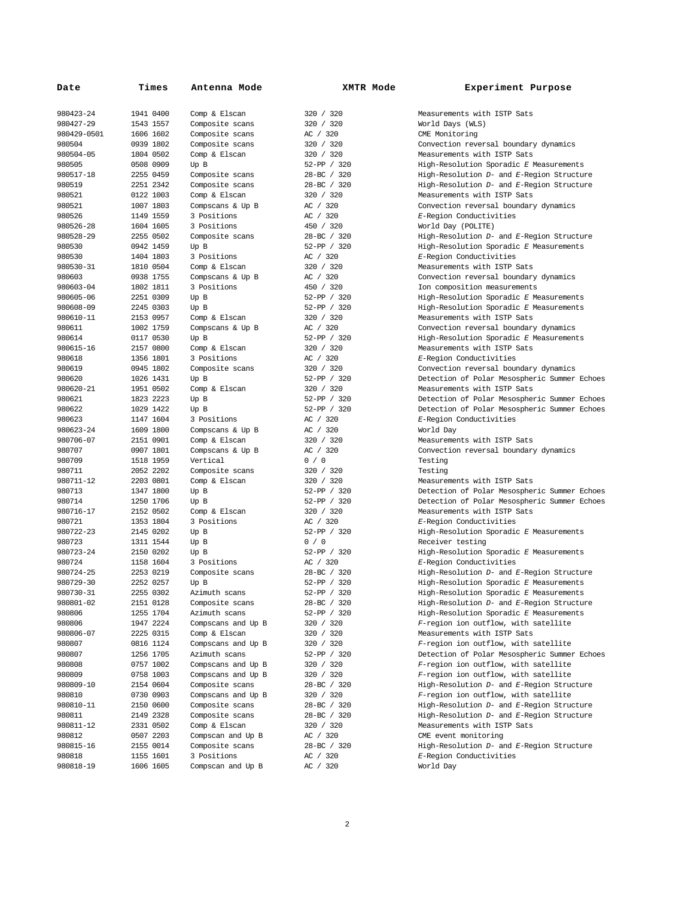| Date                | Times                  | Antenna Mode          | XMTR Mode                  | Experiment Purpose                                                          |
|---------------------|------------------------|-----------------------|----------------------------|-----------------------------------------------------------------------------|
| 980423-24           | 1941 0400              | Comp & Elscan         | 320 / 320                  | Measurements with ISTP Sats                                                 |
| 980427-29           | 1543 1557              | Composite scans       | 320 / 320                  | World Days (WLS)                                                            |
| 980429-0501         | 1606 1602              | Composite scans       | AC / 320                   | CME Monitoring                                                              |
| 980504              | 0939 1802              | Composite scans       | 320 / 320                  | Convection reversal boundary dynamics                                       |
| 980504-05           | 1804 0502              | Comp & Elscan         | 320 / 320                  | Measurements with ISTP Sats                                                 |
| 980505              | 0508 0909              | Up B                  | 52-PP / 320                | High-Resolution Sporadic E Measurements                                     |
| 980517-18           | 2255 0459              | Composite scans       | 28-BC / 320                | High-Resolution D- and E-Region Structure                                   |
| 980519              | 2251 2342              | Composite scans       | 28-BC / 320                | High-Resolution D- and E-Region Structure                                   |
| 980521              | 0122 1003              | Comp & Elscan         | 320 / 320                  | Measurements with ISTP Sats                                                 |
| 980521              | 1007 1803              | Compscans & Up B      | AC / 320                   | Convection reversal boundary dynamics                                       |
| 980526              | 1149 1559              | 3 Positions           | AC / 320                   | E-Region Conductivities                                                     |
| 980526-28           | 1604 1605              | 3 Positions           | 450 / 320                  | World Day (POLITE)                                                          |
| 980528-29           | 2255 0502              | Composite scans       | 28-BC / 320                | High-Resolution D- and E-Region Structure                                   |
| 980530              | 0942 1459              | Up B                  | 52-PP / 320                | High-Resolution Sporadic E Measurements                                     |
| 980530              | 1404 1803              | 3 Positions           | AC / 320                   | E-Region Conductivities                                                     |
| 980530-31           | 1810 0504              | Comp & Elscan         | 320 / 320                  | Measurements with ISTP Sats                                                 |
| 980603              | 0938 1755              | Compscans & Up B      | AC / 320                   | Convection reversal boundary dynamics                                       |
| 980603-04           | 1802 1811              | 3 Positions           | 450 / 320                  | Ion composition measurements                                                |
| 980605-06           | 2251 0309              | Up B                  | 52-PP / 320                | High-Resolution Sporadic E Measurements                                     |
| 980608-09           | 2245 0303              | Up B                  | 52-PP / 320                | High-Resolution Sporadic E Measurements                                     |
| 980610-11           | 2153 0957              | Comp & Elscan         | 320 / 320                  | Measurements with ISTP Sats                                                 |
| 980611              | 1002 1759              | Compscans & Up B      | AC / 320                   | Convection reversal boundary dynamics                                       |
| 980614              | 0117 0530              | Up B                  | 52-PP / 320                | High-Resolution Sporadic E Measurements                                     |
| 980615-16           | 2157 0800              | Comp & Elscan         | 320 / 320                  | Measurements with ISTP Sats                                                 |
| 980618              | 1356 1801              | 3 Positions           | AC / 320                   | E-Region Conductivities                                                     |
| 980619              | 0945 1802              | Composite scans       | 320 / 320                  | Convection reversal boundary dynamics                                       |
| 980620              | 1026 1431              | Up B<br>Comp & Elscan | 52-PP / 320                | Detection of Polar Mesospheric Summer Echoes                                |
| 980620-21<br>980621 | 1951 0502<br>1823 2223 |                       | 320 / 320                  | Measurements with ISTP Sats<br>Detection of Polar Mesospheric Summer Echoes |
| 980622              | 1029 1422              | Up B                  | 52-PP / 320<br>52-PP / 320 | Detection of Polar Mesospheric Summer Echoes                                |
| 980623              | 1147 1604              | Up B<br>3 Positions   | AC / 320                   | E-Region Conductivities                                                     |
| 980623-24           | 1609 1800              | Compscans & Up B      | AC / 320                   | World Day                                                                   |
| 980706-07           | 2151 0901              | Comp & Elscan         | 320 / 320                  | Measurements with ISTP Sats                                                 |
| 980707              | 0907 1801              | Compscans & Up B      | AC / 320                   | Convection reversal boundary dynamics                                       |
| 980709              | 1518 1959              | Vertical              | 0 / 0                      | Testing                                                                     |
| 980711              | 2052 2202              | Composite scans       | 320 / 320                  | Testing                                                                     |
| 980711-12           | 2203 0801              | Comp & Elscan         | 320 / 320                  | Measurements with ISTP Sats                                                 |
| 980713              | 1347 1800              | Up B                  | 52-PP / 320                | Detection of Polar Mesospheric Summer Echoes                                |
| 980714              | 1250 1706              | Up B                  | 52-PP / 320                | Detection of Polar Mesospheric Summer Echoes                                |
| 980716-17           | 2152 0502              | Comp & Elscan         | 320 / 320                  | Measurements with ISTP Sats                                                 |
| 980721              | 1353 1804              | 3 Positions           | AC / 320                   | E-Region Conductivities                                                     |
| 980722-23           | 2145 0202              | Up B                  | 52-PP / 320                | High-Resolution Sporadic E Measurements                                     |
| 980723              | 1311 1544              | Up B                  | 0/0                        | Receiver testing                                                            |
| 980723-24           | 2150 0202              | Up B                  | 52-PP / 320                | High-Resolution Sporadic E Measurements                                     |
| 980724              | 1158 1604              | 3 Positions           | AC / 320                   | E-Region Conductivities                                                     |
| 980724-25           | 2253 0219              | Composite scans       | 28-BC / 320                | High-Resolution D- and E-Region Structure                                   |
| 980729-30           | 2252 0257              | Up B                  | 52-PP / 320                | High-Resolution Sporadic E Measurements                                     |
| 980730-31           | 2255 0302              | Azimuth scans         | 52-PP / 320                | High-Resolution Sporadic E Measurements                                     |
| 980801-02           | 2151 0128              | Composite scans       | 28-BC / 320                | High-Resolution D- and E-Region Structure                                   |
| 980806              | 1255 1704              | Azimuth scans         | 52-PP / 320                | High-Resolution Sporadic E Measurements                                     |
| 980806              | 1947 2224              | Compscans and Up B    | 320 / 320                  | F-region ion outflow, with satellite                                        |
| 980806-07           | 2225 0315              | Comp & Elscan         | 320 / 320                  | Measurements with ISTP Sats                                                 |
| 980807              | 0816 1124              | Compscans and Up B    | 320 / 320                  | F-region ion outflow, with satellite                                        |
| 980807              | 1256 1705              | Azimuth scans         | 52-PP / 320                | Detection of Polar Mesospheric Summer Echoes                                |
| 980808              | 0757 1002              | Compscans and Up B    | 320 / 320                  | F-region ion outflow, with satellite                                        |
| 980809              | 0758 1003              | Compscans and Up B    | 320 / 320                  | F-region ion outflow, with satellite                                        |
| 980809-10           | 2154 0604              | Composite scans       | 28-BC / 320                | High-Resolution D- and E-Region Structure                                   |
| 980810              | 0730 0903              | Compscans and Up B    | 320 / 320                  | F-region ion outflow, with satellite                                        |
| 980810-11           | 2150 0600              | Composite scans       | 28-BC / 320                | High-Resolution D- and E-Region Structure                                   |
| 980811              | 2149 2328              | Composite scans       | 28-BC / 320                | High-Resolution D- and E-Region Structure                                   |
| 980811-12           | 2331 0502              | Comp & Elscan         | 320 / 320                  | Measurements with ISTP Sats                                                 |
| 980812              | 0507 2203              | Compscan and Up B     | AC / 320                   | CME event monitoring                                                        |
| 980815-16           | 2155 0014              | Composite scans       | 28-BC / 320                | High-Resolution D- and E-Region Structure                                   |
| 980818              | 1155 1601              | 3 Positions           | AC / 320                   | E-Region Conductivities                                                     |
| 980818-19           | 1606 1605              | Compscan and Up B     | AC / 320                   | World Day                                                                   |